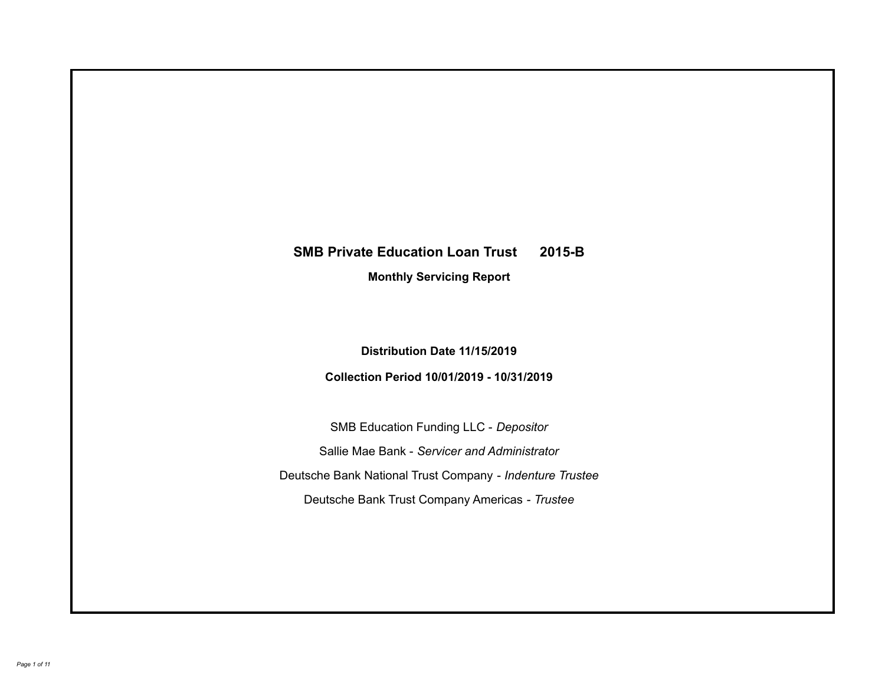# **SMB Private Education Loan Trust 2015-B Monthly Servicing Report**

# **Distribution Date 11/15/2019**

# **Collection Period 10/01/2019 - 10/31/2019**

SMB Education Funding LLC - *Depositor* Sallie Mae Bank - *Servicer and Administrator* Deutsche Bank National Trust Company - *Indenture Trustee* Deutsche Bank Trust Company Americas - *Trustee*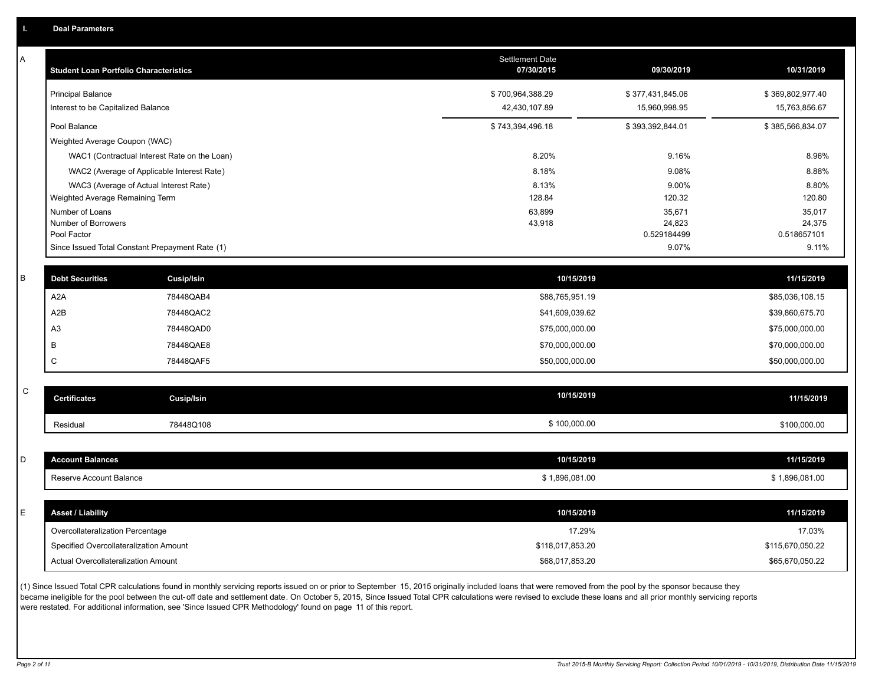| А           | <b>Student Loan Portfolio Characteristics</b> |                                                 | Settlement Date<br>07/30/2015 | 09/30/2019           | 10/31/2019           |
|-------------|-----------------------------------------------|-------------------------------------------------|-------------------------------|----------------------|----------------------|
|             | <b>Principal Balance</b>                      |                                                 | \$700,964,388.29              | \$377,431,845.06     | \$369,802,977.40     |
|             | Interest to be Capitalized Balance            |                                                 | 42,430,107.89                 | 15,960,998.95        | 15,763,856.67        |
|             | Pool Balance                                  |                                                 | \$743,394,496.18              | \$393,392,844.01     | \$385,566,834.07     |
|             | Weighted Average Coupon (WAC)                 |                                                 |                               |                      |                      |
|             |                                               | WAC1 (Contractual Interest Rate on the Loan)    | 8.20%                         | 9.16%                | 8.96%                |
|             |                                               | WAC2 (Average of Applicable Interest Rate)      | 8.18%                         | 9.08%                | 8.88%                |
|             |                                               | WAC3 (Average of Actual Interest Rate)          | 8.13%                         | 9.00%                | 8.80%                |
|             | Weighted Average Remaining Term               |                                                 | 128.84                        | 120.32               | 120.80               |
|             | Number of Loans                               |                                                 | 63,899                        | 35,671               | 35,017               |
|             | Number of Borrowers                           |                                                 | 43,918                        | 24,823               | 24,375               |
|             | Pool Factor                                   | Since Issued Total Constant Prepayment Rate (1) |                               | 0.529184499<br>9.07% | 0.518657101<br>9.11% |
|             |                                               |                                                 |                               |                      |                      |
| B           | <b>Debt Securities</b>                        | <b>Cusip/Isin</b>                               | 10/15/2019                    |                      | 11/15/2019           |
|             | A <sub>2</sub> A                              | 78448QAB4                                       | \$88,765,951.19               |                      | \$85,036,108.15      |
|             | A2B                                           | 78448QAC2                                       | \$41,609,039.62               |                      | \$39,860,675.70      |
|             | A <sub>3</sub>                                | 78448QAD0                                       | \$75,000,000.00               |                      | \$75,000,000.00      |
|             | B                                             | 78448QAE8                                       | \$70,000,000.00               |                      | \$70,000,000.00      |
|             | C                                             | 78448QAF5                                       | \$50,000,000.00               |                      | \$50,000,000.00      |
|             |                                               |                                                 |                               |                      |                      |
| $\mathsf C$ | <b>Certificates</b>                           | <b>Cusip/Isin</b>                               | 10/15/2019                    |                      | 11/15/2019           |
|             | Residual                                      | 78448Q108                                       | \$100,000.00                  |                      | \$100,000.00         |
|             |                                               |                                                 |                               |                      |                      |
| D           | <b>Account Balances</b>                       |                                                 | 10/15/2019                    |                      | 11/15/2019           |
|             | Reserve Account Balance                       |                                                 | \$1,896,081.00                |                      | \$1,896,081.00       |
|             |                                               |                                                 |                               |                      |                      |
| Е           | <b>Asset / Liability</b>                      |                                                 | 10/15/2019                    |                      | 11/15/2019           |
|             | Overcollateralization Percentage              |                                                 | 17.29%                        |                      | 17.03%               |
|             | Specified Overcollateralization Amount        |                                                 | \$118,017,853.20              |                      | \$115,670,050.22     |
|             | Actual Overcollateralization Amount           |                                                 | \$68,017,853.20               |                      | \$65,670,050.22      |

(1) Since Issued Total CPR calculations found in monthly servicing reports issued on or prior to September 15, 2015 originally included loans that were removed from the pool by the sponsor because they .<br>became ineligible for the pool between the cut-off date and settlement date. On October 5, 2015, Since Issued Total CPR calculations were revised to exclude these loans and all prior monthly servicing reports were restated. For additional information, see 'Since Issued CPR Methodology' found on page 11 of this report.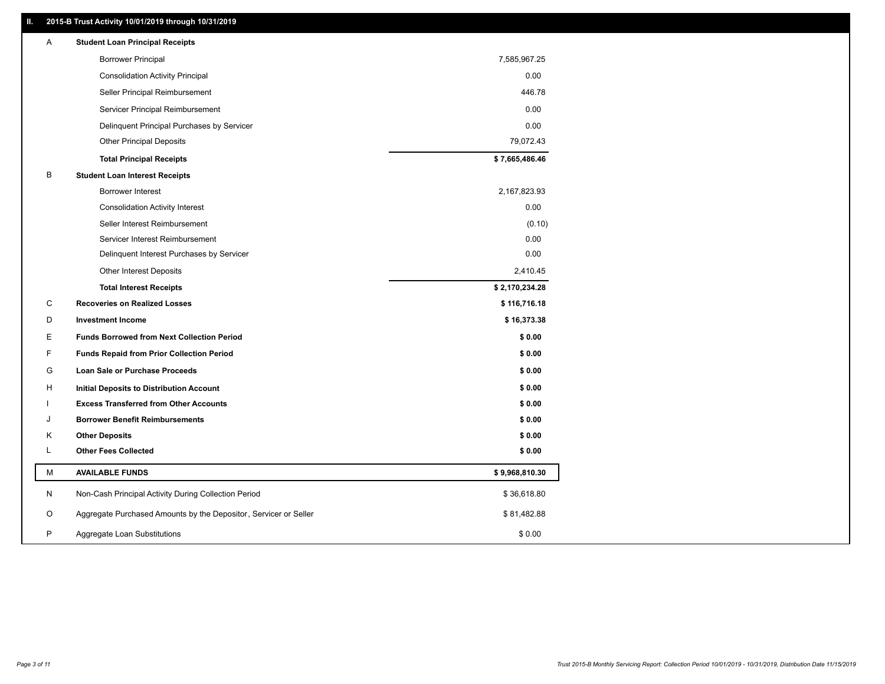## **II. 2015-B Trust Activity 10/01/2019 through 10/31/2019**

| Α | <b>Student Loan Principal Receipts</b>                           |                |  |
|---|------------------------------------------------------------------|----------------|--|
|   | <b>Borrower Principal</b>                                        | 7,585,967.25   |  |
|   | <b>Consolidation Activity Principal</b>                          | 0.00           |  |
|   | Seller Principal Reimbursement                                   | 446.78         |  |
|   | Servicer Principal Reimbursement                                 | 0.00           |  |
|   | Delinquent Principal Purchases by Servicer                       | 0.00           |  |
|   | <b>Other Principal Deposits</b>                                  | 79,072.43      |  |
|   | <b>Total Principal Receipts</b>                                  | \$7,665,486.46 |  |
| B | <b>Student Loan Interest Receipts</b>                            |                |  |
|   | <b>Borrower Interest</b>                                         | 2,167,823.93   |  |
|   | <b>Consolidation Activity Interest</b>                           | 0.00           |  |
|   | Seller Interest Reimbursement                                    | (0.10)         |  |
|   | Servicer Interest Reimbursement                                  | 0.00           |  |
|   | Delinquent Interest Purchases by Servicer                        | 0.00           |  |
|   | Other Interest Deposits                                          | 2,410.45       |  |
|   | <b>Total Interest Receipts</b>                                   | \$2,170,234.28 |  |
| C | <b>Recoveries on Realized Losses</b>                             | \$116,716.18   |  |
| D | <b>Investment Income</b>                                         | \$16,373.38    |  |
| Е | <b>Funds Borrowed from Next Collection Period</b>                | \$0.00         |  |
| F | <b>Funds Repaid from Prior Collection Period</b>                 | \$0.00         |  |
| G | Loan Sale or Purchase Proceeds                                   | \$0.00         |  |
| H | Initial Deposits to Distribution Account                         | \$0.00         |  |
|   | <b>Excess Transferred from Other Accounts</b>                    | \$0.00         |  |
| J | <b>Borrower Benefit Reimbursements</b>                           | \$0.00         |  |
| Κ | <b>Other Deposits</b>                                            | \$0.00         |  |
| L | <b>Other Fees Collected</b>                                      | \$0.00         |  |
| М | <b>AVAILABLE FUNDS</b>                                           | \$9,968,810.30 |  |
| N | Non-Cash Principal Activity During Collection Period             | \$36,618.80    |  |
| O | Aggregate Purchased Amounts by the Depositor, Servicer or Seller | \$81,482.88    |  |
| P | Aggregate Loan Substitutions                                     | \$0.00         |  |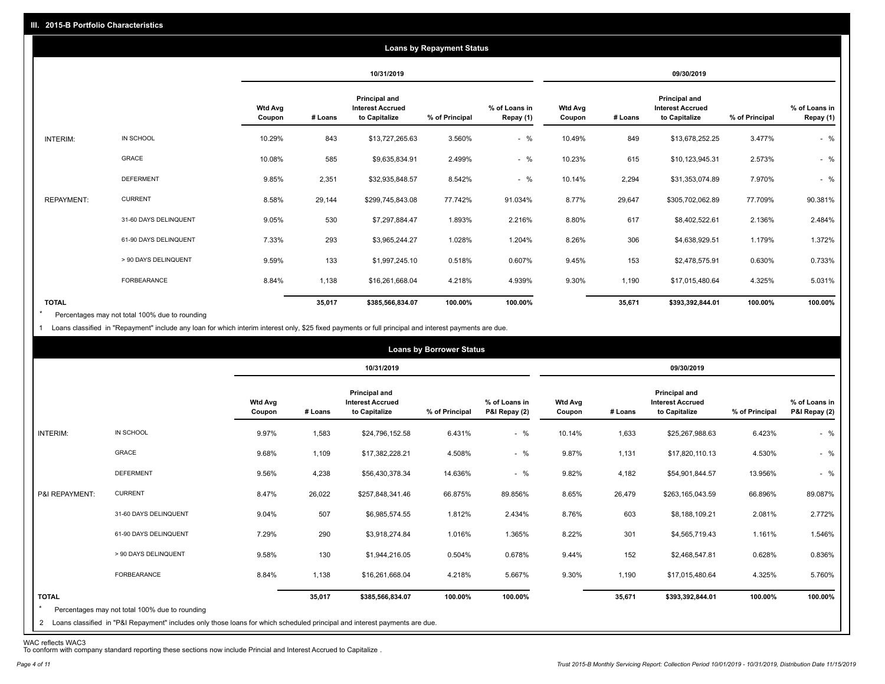|                   |                       |                          |         |                                                                  | <b>Loans by Repayment Status</b> |                            |                          |         |                                                           |                |                            |
|-------------------|-----------------------|--------------------------|---------|------------------------------------------------------------------|----------------------------------|----------------------------|--------------------------|---------|-----------------------------------------------------------|----------------|----------------------------|
|                   |                       |                          |         | 10/31/2019                                                       |                                  |                            |                          |         | 09/30/2019                                                |                |                            |
|                   |                       | <b>Wtd Avg</b><br>Coupon | # Loans | <b>Principal and</b><br><b>Interest Accrued</b><br>to Capitalize | % of Principal                   | % of Loans in<br>Repay (1) | <b>Wtd Avg</b><br>Coupon | # Loans | Principal and<br><b>Interest Accrued</b><br>to Capitalize | % of Principal | % of Loans in<br>Repay (1) |
| INTERIM:          | IN SCHOOL             | 10.29%                   | 843     | \$13,727,265.63                                                  | 3.560%                           | $-$ %                      | 10.49%                   | 849     | \$13,678,252.25                                           | 3.477%         | $-$ %                      |
|                   | <b>GRACE</b>          | 10.08%                   | 585     | \$9,635,834.91                                                   | 2.499%                           | $-$ %                      | 10.23%                   | 615     | \$10,123,945.31                                           | 2.573%         | $-$ %                      |
|                   | <b>DEFERMENT</b>      | 9.85%                    | 2,351   | \$32,935,848.57                                                  | 8.542%                           | $-$ %                      | 10.14%                   | 2,294   | \$31,353,074.89                                           | 7.970%         | $-$ %                      |
| <b>REPAYMENT:</b> | <b>CURRENT</b>        | 8.58%                    | 29,144  | \$299,745,843.08                                                 | 77.742%                          | 91.034%                    | 8.77%                    | 29,647  | \$305,702,062.89                                          | 77.709%        | 90.381%                    |
|                   | 31-60 DAYS DELINQUENT | 9.05%                    | 530     | \$7,297,884.47                                                   | 1.893%                           | 2.216%                     | 8.80%                    | 617     | \$8,402,522.61                                            | 2.136%         | 2.484%                     |
|                   | 61-90 DAYS DELINQUENT | 7.33%                    | 293     | \$3,965,244.27                                                   | 1.028%                           | 1.204%                     | 8.26%                    | 306     | \$4,638,929.51                                            | 1.179%         | 1.372%                     |
|                   | > 90 DAYS DELINQUENT  | 9.59%                    | 133     | \$1,997,245.10                                                   | 0.518%                           | 0.607%                     | 9.45%                    | 153     | \$2,478,575.91                                            | 0.630%         | 0.733%                     |
|                   | <b>FORBEARANCE</b>    | 8.84%                    | 1,138   | \$16,261,668.04                                                  | 4.218%                           | 4.939%                     | 9.30%                    | 1,190   | \$17,015,480.64                                           | 4.325%         | 5.031%                     |
| <b>TOTAL</b>      |                       |                          | 35,017  | \$385,566,834.07                                                 | 100.00%                          | 100.00%                    |                          | 35,671  | \$393,392,844.01                                          | 100.00%        | 100.00%                    |

Percentages may not total 100% due to rounding  $\star$ 

1 Loans classified in "Repayment" include any loan for which interim interest only, \$25 fixed payments or full principal and interest payments are due.

| <b>Loans by Borrower Status</b> |                                                                                                                                                                              |                          |         |                                                                  |                |                                |                          |         |                                                                  |                |                                |
|---------------------------------|------------------------------------------------------------------------------------------------------------------------------------------------------------------------------|--------------------------|---------|------------------------------------------------------------------|----------------|--------------------------------|--------------------------|---------|------------------------------------------------------------------|----------------|--------------------------------|
|                                 |                                                                                                                                                                              |                          |         | 10/31/2019                                                       |                |                                |                          |         | 09/30/2019                                                       |                |                                |
|                                 |                                                                                                                                                                              | <b>Wtd Avg</b><br>Coupon | # Loans | <b>Principal and</b><br><b>Interest Accrued</b><br>to Capitalize | % of Principal | % of Loans in<br>P&I Repay (2) | <b>Wtd Avg</b><br>Coupon | # Loans | <b>Principal and</b><br><b>Interest Accrued</b><br>to Capitalize | % of Principal | % of Loans in<br>P&I Repay (2) |
| INTERIM:                        | IN SCHOOL                                                                                                                                                                    | 9.97%                    | 1,583   | \$24,796,152.58                                                  | 6.431%         | $-$ %                          | 10.14%                   | 1,633   | \$25,267,988.63                                                  | 6.423%         | $-$ %                          |
|                                 | <b>GRACE</b>                                                                                                                                                                 | 9.68%                    | 1,109   | \$17,382,228.21                                                  | 4.508%         | $-$ %                          | 9.87%                    | 1,131   | \$17,820,110.13                                                  | 4.530%         | $-$ %                          |
|                                 | <b>DEFERMENT</b>                                                                                                                                                             | 9.56%                    | 4,238   | \$56,430,378.34                                                  | 14.636%        | $-$ %                          | 9.82%                    | 4,182   | \$54,901,844.57                                                  | 13.956%        | $-$ %                          |
| P&I REPAYMENT:                  | <b>CURRENT</b>                                                                                                                                                               | 8.47%                    | 26,022  | \$257,848,341.46                                                 | 66.875%        | 89.856%                        | 8.65%                    | 26,479  | \$263,165,043.59                                                 | 66.896%        | 89.087%                        |
|                                 | 31-60 DAYS DELINQUENT                                                                                                                                                        | 9.04%                    | 507     | \$6,985,574.55                                                   | 1.812%         | 2.434%                         | 8.76%                    | 603     | \$8,188,109.21                                                   | 2.081%         | 2.772%                         |
|                                 | 61-90 DAYS DELINQUENT                                                                                                                                                        | 7.29%                    | 290     | \$3,918,274.84                                                   | 1.016%         | 1.365%                         | 8.22%                    | 301     | \$4,565,719.43                                                   | 1.161%         | 1.546%                         |
|                                 | > 90 DAYS DELINQUENT                                                                                                                                                         | 9.58%                    | 130     | \$1,944,216.05                                                   | 0.504%         | 0.678%                         | 9.44%                    | 152     | \$2,468,547.81                                                   | 0.628%         | 0.836%                         |
|                                 | FORBEARANCE                                                                                                                                                                  | 8.84%                    | 1,138   | \$16,261,668.04                                                  | 4.218%         | 5.667%                         | 9.30%                    | 1,190   | \$17,015,480.64                                                  | 4.325%         | 5.760%                         |
| <b>TOTAL</b><br>$\overline{2}$  | Percentages may not total 100% due to rounding<br>Loans classified in "P&I Repayment" includes only those loans for which scheduled principal and interest payments are due. |                          | 35,017  | \$385,566,834.07                                                 | 100.00%        | 100.00%                        |                          | 35,671  | \$393,392,844.01                                                 | 100.00%        | 100.00%                        |

WAC reflects WAC3 To conform with company standard reporting these sections now include Princial and Interest Accrued to Capitalize .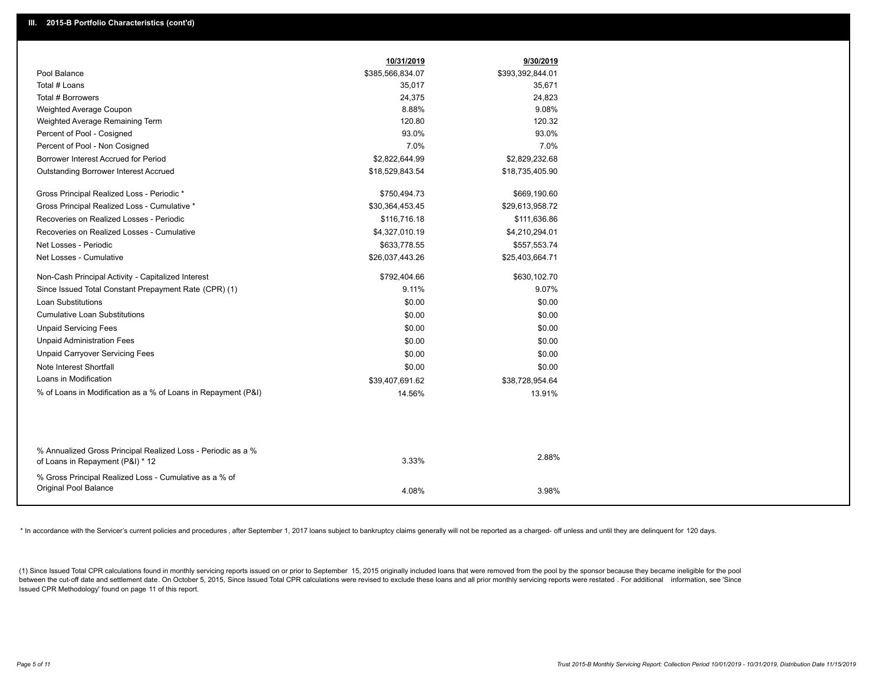|                                                                                                  | 10/31/2019       | 9/30/2019        |
|--------------------------------------------------------------------------------------------------|------------------|------------------|
| Pool Balance                                                                                     | \$385,566,834.07 | \$393,392,844.01 |
| Total # Loans                                                                                    | 35,017           | 35,671           |
| Total # Borrowers                                                                                | 24,375           | 24,823           |
| Weighted Average Coupon                                                                          | 8.88%            | 9.08%            |
| Weighted Average Remaining Term                                                                  | 120.80           | 120.32           |
| Percent of Pool - Cosigned                                                                       | 93.0%            | 93.0%            |
| Percent of Pool - Non Cosigned                                                                   | 7.0%             | 7.0%             |
| Borrower Interest Accrued for Period                                                             | \$2,822,644.99   | \$2,829,232.68   |
| Outstanding Borrower Interest Accrued                                                            | \$18,529,843.54  | \$18,735,405.90  |
| Gross Principal Realized Loss - Periodic *                                                       | \$750,494.73     | \$669,190.60     |
| Gross Principal Realized Loss - Cumulative *                                                     | \$30,364,453.45  | \$29,613,958.72  |
| Recoveries on Realized Losses - Periodic                                                         | \$116,716.18     | \$111,636.86     |
| Recoveries on Realized Losses - Cumulative                                                       | \$4,327,010.19   | \$4,210,294.01   |
| Net Losses - Periodic                                                                            | \$633,778.55     | \$557,553.74     |
| Net Losses - Cumulative                                                                          | \$26,037,443.26  | \$25,403,664.71  |
| Non-Cash Principal Activity - Capitalized Interest                                               | \$792,404.66     | \$630,102.70     |
| Since Issued Total Constant Prepayment Rate (CPR) (1)                                            | 9.11%            | 9.07%            |
| <b>Loan Substitutions</b>                                                                        | \$0.00           | \$0.00           |
| <b>Cumulative Loan Substitutions</b>                                                             | \$0.00           | \$0.00           |
| <b>Unpaid Servicing Fees</b>                                                                     | \$0.00           | \$0.00           |
| <b>Unpaid Administration Fees</b>                                                                | \$0.00           | \$0.00           |
| <b>Unpaid Carryover Servicing Fees</b>                                                           | \$0.00           | \$0.00           |
| Note Interest Shortfall                                                                          | \$0.00           | \$0.00           |
| Loans in Modification                                                                            | \$39,407,691.62  | \$38,728,954.64  |
| % of Loans in Modification as a % of Loans in Repayment (P&I)                                    | 14.56%           | 13.91%           |
|                                                                                                  |                  |                  |
|                                                                                                  |                  |                  |
| % Annualized Gross Principal Realized Loss - Periodic as a %<br>of Loans in Repayment (P&I) * 12 | 3.33%            | 2.88%            |
| % Gross Principal Realized Loss - Cumulative as a % of                                           |                  |                  |
| Original Pool Balance                                                                            | 4.08%            | 3.98%            |
|                                                                                                  |                  |                  |

\* In accordance with the Servicer's current policies and procedures, after September 1, 2017 loans subject to bankruptcy claims generally will not be reported as a charged- off unless and until they are delinquent for 120

(1) Since Issued Total CPR calculations found in monthly servicing reports issued on or prior to September 15, 2015 originally included loans that were removed from the pool by the sponsor because they became ineligible fo between the cut-off date and settlement date. On October 5, 2015, Since Issued Total CPR calculations were revised to exclude these loans and all prior monthly servicing reports were restated. For additional information, s Issued CPR Methodology' found on page 11 of this report.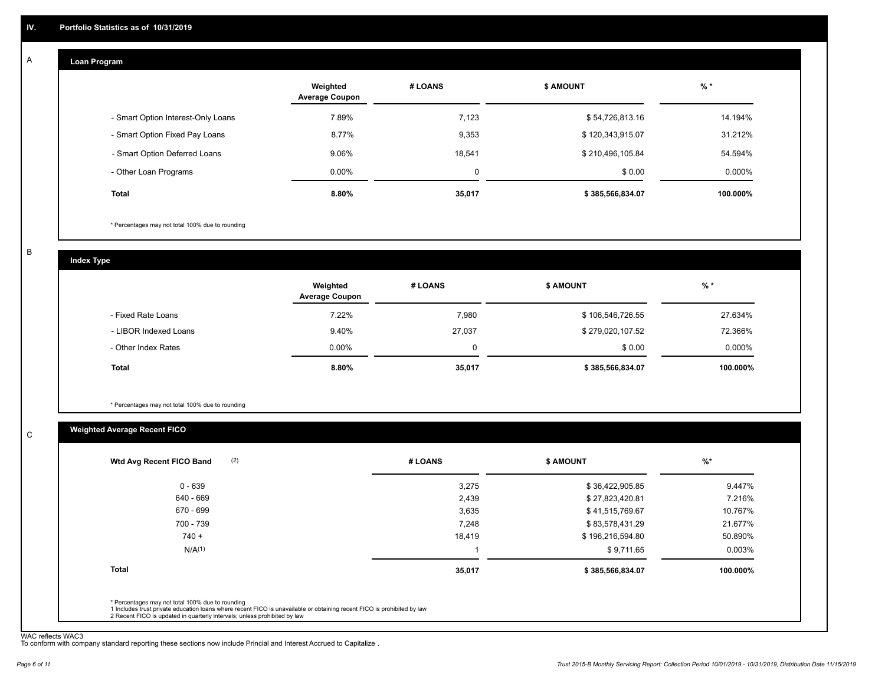#### **Loan Program**  A

|                                    | Weighted<br><b>Average Coupon</b> | # LOANS | <b>\$ AMOUNT</b> | $%$ *    |
|------------------------------------|-----------------------------------|---------|------------------|----------|
| - Smart Option Interest-Only Loans | 7.89%                             | 7,123   | \$54,726,813.16  | 14.194%  |
| - Smart Option Fixed Pay Loans     | 8.77%                             | 9,353   | \$120,343,915.07 | 31.212%  |
| - Smart Option Deferred Loans      | 9.06%                             | 18.541  | \$210,496,105.84 | 54.594%  |
| - Other Loan Programs              | $0.00\%$                          | 0       | \$0.00           | 0.000%   |
| <b>Total</b>                       | $8.80\%$                          | 35,017  | \$385,566,834.07 | 100.000% |

\* Percentages may not total 100% due to rounding

B

C

**Index Type**

|                       | Weighted<br><b>Average Coupon</b> | # LOANS | <b>\$ AMOUNT</b> | $%$ *     |
|-----------------------|-----------------------------------|---------|------------------|-----------|
| - Fixed Rate Loans    | 7.22%                             | 7,980   | \$106,546,726.55 | 27.634%   |
| - LIBOR Indexed Loans | 9.40%                             | 27,037  | \$279,020,107.52 | 72.366%   |
| - Other Index Rates   | $0.00\%$                          |         | \$0.00           | $0.000\%$ |
| Total                 | 8.80%                             | 35,017  | \$385,566,834.07 | 100.000%  |

\* Percentages may not total 100% due to rounding

# **Weighted Average Recent FICO**

| $0 - 639$    | 3,275  | \$36,422,905.85  | 9.447%   |
|--------------|--------|------------------|----------|
| 640 - 669    | 2,439  | \$27,823,420.81  | 7.216%   |
| 670 - 699    | 3,635  | \$41,515,769.67  | 10.767%  |
| 700 - 739    | 7,248  | \$83,578,431.29  | 21.677%  |
| $740 +$      | 18,419 | \$196,216,594.80 | 50.890%  |
| $N/A^{(1)}$  |        | \$9,711.65       | 0.003%   |
| <b>Total</b> | 35,017 | \$385,566,834.07 | 100.000% |

WAC reflects WAC3 To conform with company standard reporting these sections now include Princial and Interest Accrued to Capitalize .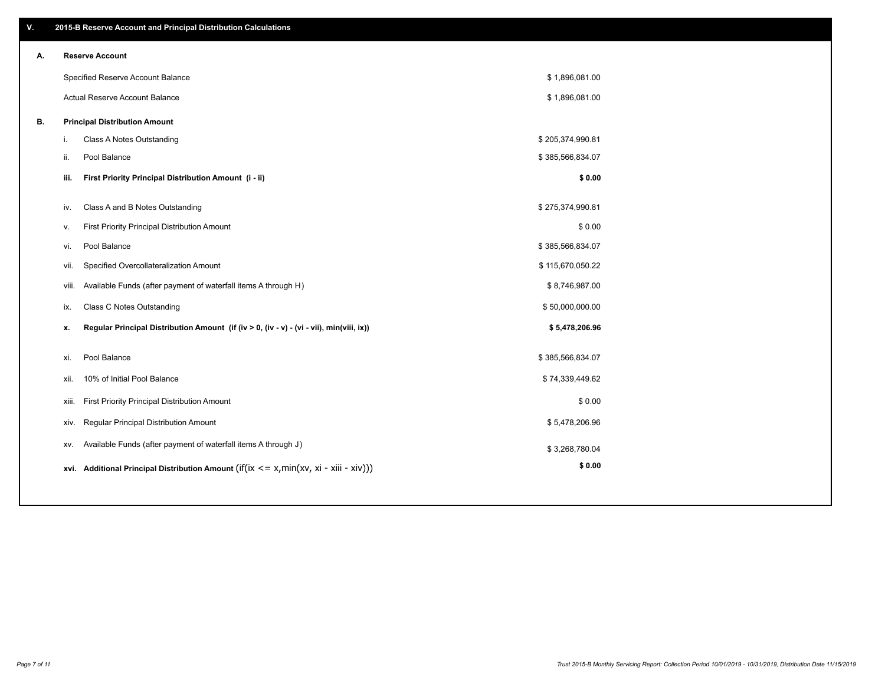| V. |       | 2015-B Reserve Account and Principal Distribution Calculations                             |                  |  |
|----|-------|--------------------------------------------------------------------------------------------|------------------|--|
| А. |       | <b>Reserve Account</b>                                                                     |                  |  |
|    |       | Specified Reserve Account Balance                                                          | \$1,896,081.00   |  |
|    |       | Actual Reserve Account Balance                                                             | \$1,896,081.00   |  |
| В. |       | <b>Principal Distribution Amount</b>                                                       |                  |  |
|    | i.    | Class A Notes Outstanding                                                                  | \$205,374,990.81 |  |
|    | ii.   | Pool Balance                                                                               | \$385,566,834.07 |  |
|    | iii.  | First Priority Principal Distribution Amount (i - ii)                                      | \$0.00           |  |
|    | iv.   | Class A and B Notes Outstanding                                                            | \$275,374,990.81 |  |
|    | v.    | First Priority Principal Distribution Amount                                               | \$0.00           |  |
|    | vi.   | Pool Balance                                                                               | \$385,566,834.07 |  |
|    | vii.  | Specified Overcollateralization Amount                                                     | \$115,670,050.22 |  |
|    | viii. | Available Funds (after payment of waterfall items A through H)                             | \$8,746,987.00   |  |
|    | ix.   | Class C Notes Outstanding                                                                  | \$50,000,000.00  |  |
|    | x.    | Regular Principal Distribution Amount (if (iv > 0, (iv - v) - (vi - vii), min(viii, ix))   | \$5,478,206.96   |  |
|    |       |                                                                                            |                  |  |
|    | xi.   | Pool Balance                                                                               | \$385,566,834.07 |  |
|    | xii.  | 10% of Initial Pool Balance                                                                | \$74,339,449.62  |  |
|    | xiii. | First Priority Principal Distribution Amount                                               | \$0.00           |  |
|    | XIV.  | Regular Principal Distribution Amount                                                      | \$5,478,206.96   |  |
|    | XV.   | Available Funds (after payment of waterfall items A through J)                             | \$3,268,780.04   |  |
|    |       | xvi. Additional Principal Distribution Amount (if(ix $\lt$ = x, min(xv, xi - xiii - xiv))) | \$0.00           |  |
|    |       |                                                                                            |                  |  |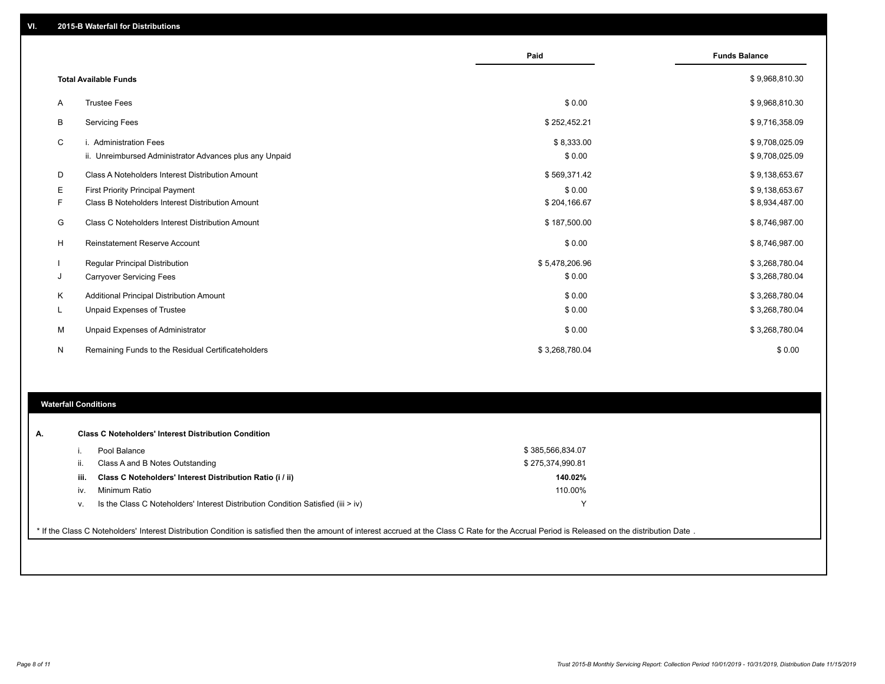|    |                                                         | Paid           | <b>Funds Balance</b> |
|----|---------------------------------------------------------|----------------|----------------------|
|    | <b>Total Available Funds</b>                            |                | \$9,968,810.30       |
| A  | <b>Trustee Fees</b>                                     | \$0.00         | \$9,968,810.30       |
| В  | <b>Servicing Fees</b>                                   | \$252,452.21   | \$9,716,358.09       |
| C  | i. Administration Fees                                  | \$8,333.00     | \$9,708,025.09       |
|    | ii. Unreimbursed Administrator Advances plus any Unpaid | \$0.00         | \$9,708,025.09       |
| D  | Class A Noteholders Interest Distribution Amount        | \$569,371.42   | \$9,138,653.67       |
| E. | First Priority Principal Payment                        | \$0.00         | \$9,138,653.67       |
| F. | Class B Noteholders Interest Distribution Amount        | \$204,166.67   | \$8,934,487.00       |
| G  | <b>Class C Noteholders Interest Distribution Amount</b> | \$187,500.00   | \$8,746,987.00       |
| H  | <b>Reinstatement Reserve Account</b>                    | \$0.00         | \$8,746,987.00       |
|    | Regular Principal Distribution                          | \$5,478,206.96 | \$3,268,780.04       |
| J  | <b>Carryover Servicing Fees</b>                         | \$0.00         | \$3,268,780.04       |
| Κ  | Additional Principal Distribution Amount                | \$0.00         | \$3,268,780.04       |
| L  | Unpaid Expenses of Trustee                              | \$0.00         | \$3,268,780.04       |
| м  | Unpaid Expenses of Administrator                        | \$0.00         | \$3,268,780.04       |
| N  | Remaining Funds to the Residual Certificateholders      | \$3,268,780.04 | \$0.00               |

### **Waterfall Conditions**

| <b>Class C Noteholders' Interest Distribution Condition</b><br>А. |      |                                                                                                                                                                                                  |                  |  |  |  |  |  |
|-------------------------------------------------------------------|------|--------------------------------------------------------------------------------------------------------------------------------------------------------------------------------------------------|------------------|--|--|--|--|--|
|                                                                   |      | Pool Balance                                                                                                                                                                                     | \$385,566,834.07 |  |  |  |  |  |
|                                                                   |      | Class A and B Notes Outstanding                                                                                                                                                                  | \$275,374,990.81 |  |  |  |  |  |
|                                                                   | iii. | Class C Noteholders' Interest Distribution Ratio (i / ii)                                                                                                                                        | 140.02%          |  |  |  |  |  |
|                                                                   | iv.  | Minimum Ratio                                                                                                                                                                                    | 110.00%          |  |  |  |  |  |
|                                                                   | v.   | Is the Class C Noteholders' Interest Distribution Condition Satisfied (iii > iv)                                                                                                                 |                  |  |  |  |  |  |
|                                                                   |      |                                                                                                                                                                                                  |                  |  |  |  |  |  |
|                                                                   |      | * If the Class C Noteholders' Interest Distribution Condition is satisfied then the amount of interest accrued at the Class C Rate for the Accrual Period is Released on the distribution Date . |                  |  |  |  |  |  |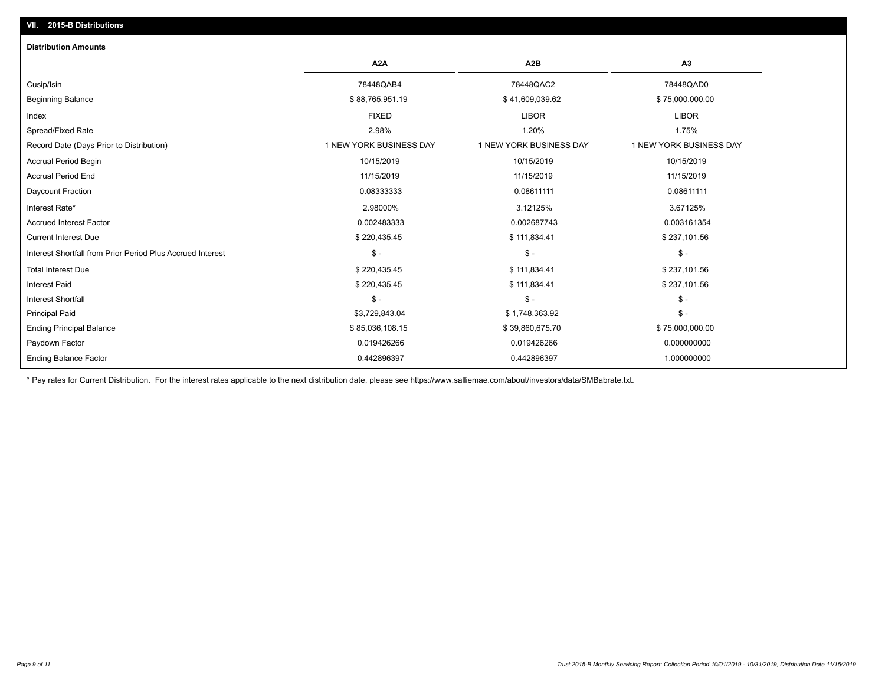| <b>Distribution Amounts</b>                                |                         |                         |                         |
|------------------------------------------------------------|-------------------------|-------------------------|-------------------------|
|                                                            | A <sub>2</sub> A        | A2B                     | A3                      |
| Cusip/Isin                                                 | 78448QAB4               | 78448QAC2               | 78448QAD0               |
| <b>Beginning Balance</b>                                   | \$88,765,951.19         | \$41,609,039.62         | \$75,000,000.00         |
| Index                                                      | <b>FIXED</b>            | <b>LIBOR</b>            | <b>LIBOR</b>            |
| Spread/Fixed Rate                                          | 2.98%                   | 1.20%                   | 1.75%                   |
| Record Date (Days Prior to Distribution)                   | 1 NEW YORK BUSINESS DAY | 1 NEW YORK BUSINESS DAY | 1 NEW YORK BUSINESS DAY |
| <b>Accrual Period Begin</b>                                | 10/15/2019              | 10/15/2019              | 10/15/2019              |
| <b>Accrual Period End</b>                                  | 11/15/2019              | 11/15/2019              | 11/15/2019              |
| Daycount Fraction                                          | 0.08333333              | 0.08611111              | 0.08611111              |
| Interest Rate*                                             | 2.98000%                | 3.12125%                | 3.67125%                |
| <b>Accrued Interest Factor</b>                             | 0.002483333             | 0.002687743             | 0.003161354             |
| <b>Current Interest Due</b>                                | \$220,435.45            | \$111,834.41            | \$237,101.56            |
| Interest Shortfall from Prior Period Plus Accrued Interest | $\mathcal{S}$ -         | $\mathsf{\$}$ -         | $\mathcal{S}$ -         |
| <b>Total Interest Due</b>                                  | \$220,435.45            | \$111,834.41            | \$237,101.56            |
| <b>Interest Paid</b>                                       | \$220,435.45            | \$111,834.41            | \$237,101.56            |
| <b>Interest Shortfall</b>                                  | $\mathcal{S}$ -         | \$ -                    | $\mathsf{\$}$ -         |
| <b>Principal Paid</b>                                      | \$3,729,843.04          | \$1,748,363.92          | $$ -$                   |
| <b>Ending Principal Balance</b>                            | \$85,036,108.15         | \$39,860,675.70         | \$75,000,000.00         |
| Paydown Factor                                             | 0.019426266             | 0.019426266             | 0.000000000             |
| <b>Ending Balance Factor</b>                               | 0.442896397             | 0.442896397             | 1.000000000             |

\* Pay rates for Current Distribution. For the interest rates applicable to the next distribution date, please see https://www.salliemae.com/about/investors/data/SMBabrate.txt.

**VII. 2015-B Distributions**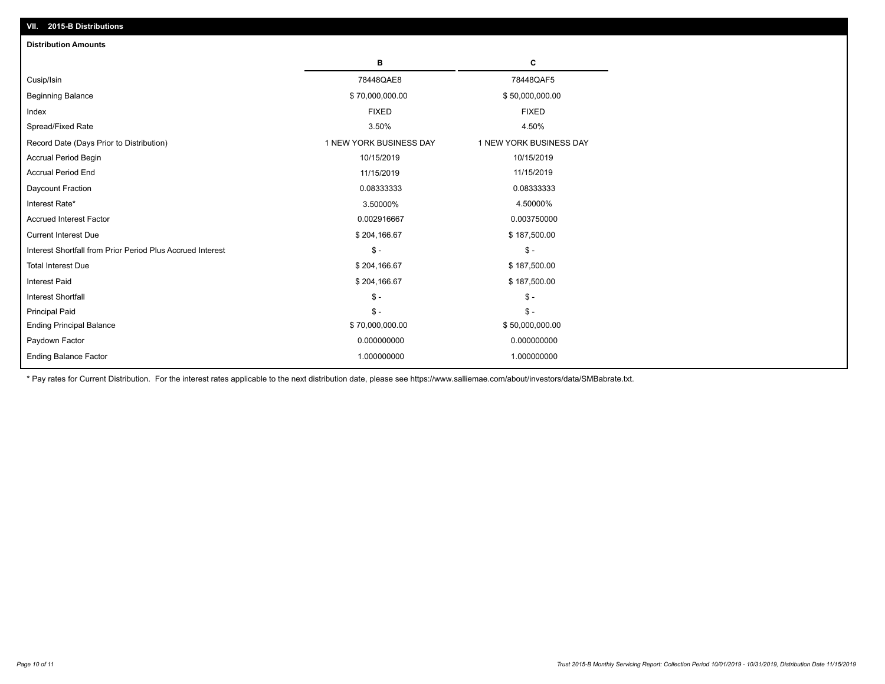| <b>Distribution Amounts</b>                                |                         |                         |
|------------------------------------------------------------|-------------------------|-------------------------|
|                                                            | в                       | c                       |
| Cusip/Isin                                                 | 78448QAE8               | 78448QAF5               |
| <b>Beginning Balance</b>                                   | \$70,000,000.00         | \$50,000,000.00         |
| Index                                                      | <b>FIXED</b>            | <b>FIXED</b>            |
| Spread/Fixed Rate                                          | 3.50%                   | 4.50%                   |
| Record Date (Days Prior to Distribution)                   | 1 NEW YORK BUSINESS DAY | 1 NEW YORK BUSINESS DAY |
| Accrual Period Begin                                       | 10/15/2019              | 10/15/2019              |
| <b>Accrual Period End</b>                                  | 11/15/2019              | 11/15/2019              |
| Daycount Fraction                                          | 0.08333333              | 0.08333333              |
| Interest Rate*                                             | 3.50000%                | 4.50000%                |
| <b>Accrued Interest Factor</b>                             | 0.002916667             | 0.003750000             |
| <b>Current Interest Due</b>                                | \$204,166.67            | \$187,500.00            |
| Interest Shortfall from Prior Period Plus Accrued Interest | $\mathcal{S}$ -         | $\mathbb{S}$ -          |
| <b>Total Interest Due</b>                                  | \$204,166.67            | \$187,500.00            |
| Interest Paid                                              | \$204,166.67            | \$187,500.00            |
| <b>Interest Shortfall</b>                                  | $\mathcal{S}$ -         | $\mathbb{S}$ -          |
| <b>Principal Paid</b>                                      | $\mathsf{\$}$ -         | $\mathsf{\$}$ -         |
| <b>Ending Principal Balance</b>                            | \$70,000,000.00         | \$50,000,000.00         |
| Paydown Factor                                             | 0.000000000             | 0.000000000             |
| <b>Ending Balance Factor</b>                               | 1.000000000             | 1.000000000             |

\* Pay rates for Current Distribution. For the interest rates applicable to the next distribution date, please see https://www.salliemae.com/about/investors/data/SMBabrate.txt.

**VII. 2015-B Distributions**